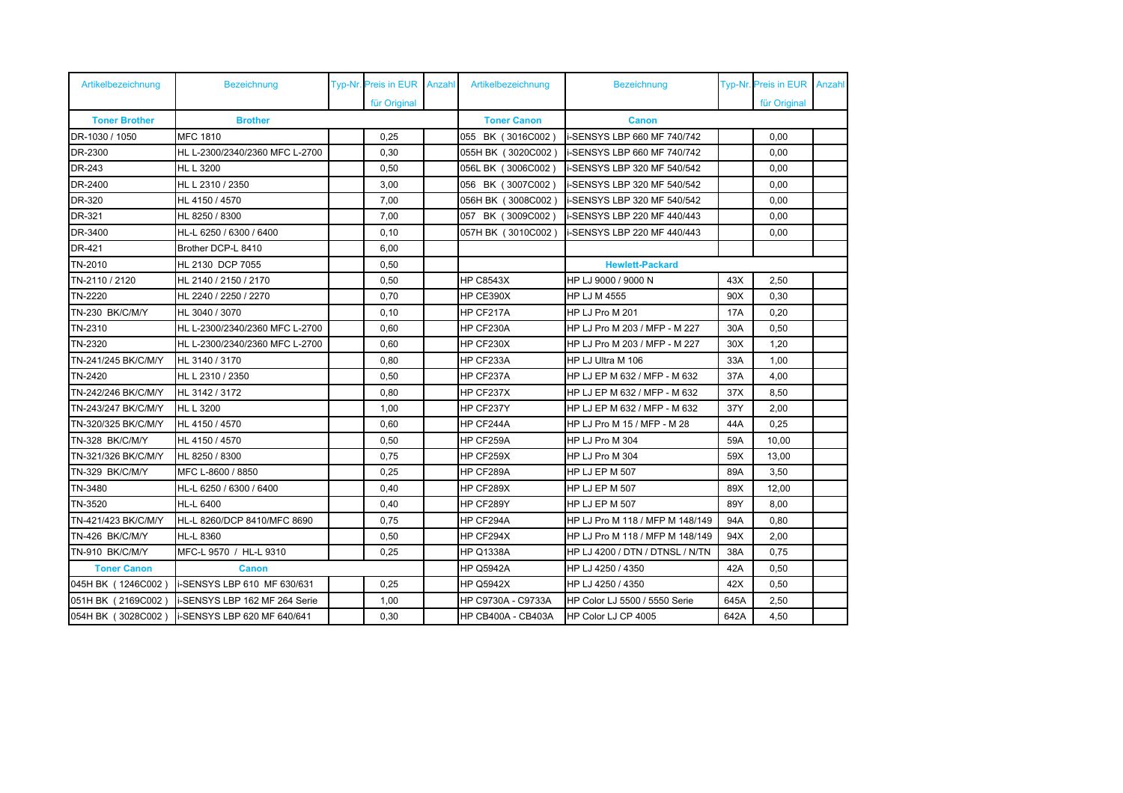| Artikelbezeichnung     | <b>Bezeichnung</b>             |  | Typ-Nr. Preis in EUR | Anzahl | Artikelbezeichnung        | <b>Bezeichnung</b>                 |            | Typ-Nr. Preis in EUR Anzahl |  |
|------------------------|--------------------------------|--|----------------------|--------|---------------------------|------------------------------------|------------|-----------------------------|--|
|                        |                                |  | für Original         |        |                           |                                    |            | für Original                |  |
| <b>Toner Brother</b>   | <b>Brother</b>                 |  |                      |        | <b>Toner Canon</b>        | <b>Canon</b>                       |            |                             |  |
| DR-1030 / 1050         | <b>MFC 1810</b>                |  | 0,25                 |        | 055 BK (3016C002)         | i-SENSYS LBP 660 MF 740/742        |            | 0.00                        |  |
| DR-2300                | HL L-2300/2340/2360 MFC L-2700 |  | 0,30                 |        | 055H BK (3020C002)        | i-SENSYS LBP 660 MF 740/742        |            | 0,00                        |  |
| DR-243                 | <b>HL L 3200</b>               |  | 0.50                 |        | 056L BK (3006C002)        | i-SENSYS LBP 320 MF 540/542        |            | 0.00                        |  |
| DR-2400                | HL L 2310 / 2350               |  | 3,00                 |        | 056 BK (3007C002)         | i-SENSYS LBP 320 MF 540/542        |            | 0,00                        |  |
| DR-320                 | HL 4150 / 4570                 |  | 7,00                 |        | 056H BK (3008C002)        | i-SENSYS LBP 320 MF 540/542        |            | 0,00                        |  |
| DR-321                 | HL 8250 / 8300                 |  | 7,00                 |        | 057 BK (3009C002)         | i-SENSYS LBP 220 MF 440/443        |            | 0,00                        |  |
| DR-3400                | HL-L 6250 / 6300 / 6400        |  | 0, 10                |        | 057H BK (3010C002)        | <b>i-SENSYS LBP 220 MF 440/443</b> |            | 0,00                        |  |
| DR-421                 | Brother DCP-L 8410             |  | 6,00                 |        |                           |                                    |            |                             |  |
| TN-2010                | HL 2130 DCP 7055               |  | 0,50                 |        |                           | <b>Hewlett-Packard</b>             |            |                             |  |
| TN-2110 / 2120         | HL 2140 / 2150 / 2170          |  | 0,50                 |        | <b>HP C8543X</b>          | HP LJ 9000 / 9000 N                | 43X        | 2,50                        |  |
| TN-2220                | HL 2240 / 2250 / 2270          |  | 0,70                 |        | HP CE390X                 | HP LJ M 4555                       | 90X        | 0,30                        |  |
| TN-230 BK/C/M/Y        | HL 3040 / 3070                 |  | 0,10                 |        | HP CF217A                 | HP LJ Pro M 201                    | <b>17A</b> | 0,20                        |  |
| TN-2310                | HL L-2300/2340/2360 MFC L-2700 |  | 0,60                 |        | HP CF230A                 | HP LJ Pro M 203 / MFP - M 227      | 30A        | 0,50                        |  |
| TN-2320                | HL L-2300/2340/2360 MFC L-2700 |  | 0,60                 |        | HP CF230X                 | HP LJ Pro M 203 / MFP - M 227      | 30X        | 1,20                        |  |
| TN-241/245 BK/C/M/Y    | HL 3140 / 3170                 |  | 0,80                 |        | HP CF233A                 | HP LJ Ultra M 106                  | 33A        | 1,00                        |  |
| TN-2420                | HL L 2310 / 2350               |  | 0,50                 |        | HP CF237A                 | HP LJ EP M 632 / MFP - M 632       | 37A        | 4,00                        |  |
| TN-242/246 BK/C/M/Y    | HL 3142 / 3172                 |  | 0,80                 |        | HP CF237X                 | HP LJ EP M 632 / MFP - M 632       | 37X        | 8,50                        |  |
| TN-243/247 BK/C/M/Y    | HL L 3200                      |  | 1,00                 |        | HP CF237Y                 | HP LJ EP M 632 / MFP - M 632       | 37Y        | 2,00                        |  |
| TN-320/325 BK/C/M/Y    | HL 4150 / 4570                 |  | 0.60                 |        | HP CF244A                 | HP LJ Pro M 15 / MFP - M 28        | 44A        | 0,25                        |  |
| <b>TN-328 BK/C/M/Y</b> | HL 4150 / 4570                 |  | 0,50                 |        | HP CF259A                 | HP LJ Pro M 304                    | 59A        | 10,00                       |  |
| TN-321/326 BK/C/M/Y    | HL 8250 / 8300                 |  | 0,75                 |        | HP CF259X                 | HP LJ Pro M 304                    | 59X        | 13,00                       |  |
| TN-329 BK/C/M/Y        | MFC L-8600 / 8850              |  | 0,25                 |        | HP CF289A                 | <b>HP LJ EP M 507</b>              | 89A        | 3,50                        |  |
| TN-3480                | HL-L 6250 / 6300 / 6400        |  | 0,40                 |        | HP CF289X                 | <b>HP LJ EP M 507</b>              | 89X        | 12,00                       |  |
| TN-3520                | <b>HL-L 6400</b>               |  | 0,40                 |        | HP CF289Y                 | <b>HP LJ EP M 507</b>              | 89Y        | 8,00                        |  |
| TN-421/423 BK/C/M/Y    | HL-L 8260/DCP 8410/MFC 8690    |  | 0,75                 |        | HP CF294A                 | HP LJ Pro M 118 / MFP M 148/149    | 94A        | 0,80                        |  |
| TN-426 BK/C/M/Y        | <b>HL-L 8360</b>               |  | 0,50                 |        | HP CF294X                 | HP LJ Pro M 118 / MFP M 148/149    | 94X        | 2,00                        |  |
| <b>TN-910 BK/C/M/Y</b> | MFC-L 9570 / HL-L 9310         |  | 0,25                 |        | <b>HP Q1338A</b>          | HP LJ 4200 / DTN / DTNSL / N/TN    | 38A        | 0,75                        |  |
| <b>Toner Canon</b>     | <b>Canon</b>                   |  |                      |        | <b>HP Q5942A</b>          | HP LJ 4250 / 4350                  | 42A        | 0.50                        |  |
| 045H BK (1246C002)     | i-SENSYS LBP 610 MF 630/631    |  | 0,25                 |        | <b>HP Q5942X</b>          | HP LJ 4250 / 4350                  | 42X        | 0,50                        |  |
| 051H BK (2169C002)     | i-SENSYS LBP 162 MF 264 Serie  |  | 1,00                 |        | HP C9730A - C9733A        | HP Color LJ 5500 / 5550 Serie      | 645A       | 2,50                        |  |
| 054H BK (3028C002)     | i-SENSYS LBP 620 MF 640/641    |  | 0,30                 |        | <b>HP CB400A - CB403A</b> | HP Color LJ CP 4005                | 642A       | 4,50                        |  |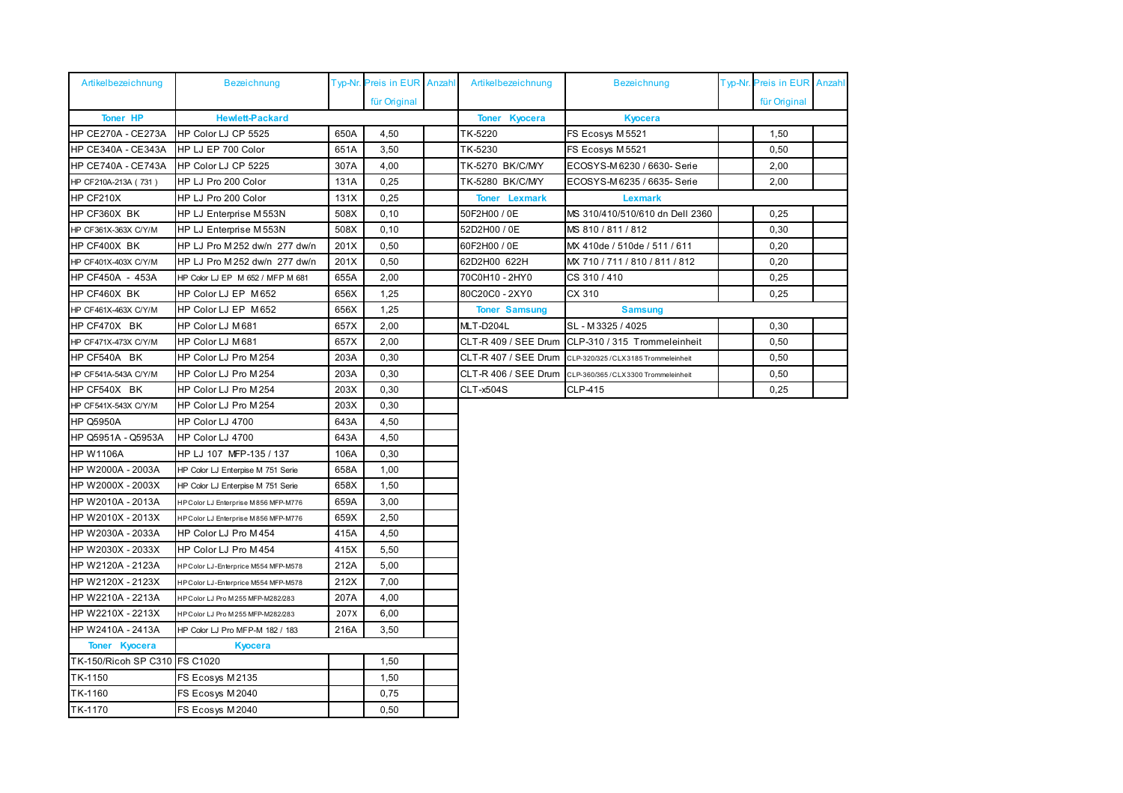| Artikelbezeichnung            | <b>Bezeichnung</b>                    |      | Typ-Nr. Preis in EUR Anzahl | Artikelbezeichnung     | <b>Bezeichnung</b>                 | Typ-Nr. Preis in EUR Anzahl |  |
|-------------------------------|---------------------------------------|------|-----------------------------|------------------------|------------------------------------|-----------------------------|--|
|                               |                                       |      | für Original                |                        |                                    | für Original                |  |
| <b>Toner HP</b>               | <b>Hewlett-Packard</b>                |      |                             | <b>Toner Kyocera</b>   | <b>Kyocera</b>                     |                             |  |
| HP CE270A - CE273A            | HP Color LJ CP 5525                   | 650A | 4,50                        | TK-5220                | FS Ecosys M5521                    | 1,50                        |  |
| <b>HP CE340A - CE343A</b>     | HP LJ EP 700 Color                    | 651A | 3,50                        | TK-5230                | FS Ecosys M5521                    | 0,50                        |  |
| <b>HP CE740A - CE743A</b>     | HP Color LJ CP 5225                   | 307A | 4,00                        | TK-5270 BK/C/MY        | ECOSYS-M6230 / 6630- Serie         | 2,00                        |  |
| HP CF210A-213A (731)          | HP LJ Pro 200 Color                   | 131A | 0,25                        | <b>TK-5280 BK/C/MY</b> | ECOSYS-M6235 / 6635- Serie         | 2,00                        |  |
| HP CF210X                     | HP LJ Pro 200 Color                   | 131X | 0,25                        | <b>Toner Lexmark</b>   | <b>Lexmark</b>                     |                             |  |
| HP CF360X BK                  | HP LJ Enterprise M 553N               | 508X | 0,10                        | 50F2H00 / 0E           | MS 310/410/510/610 dn Dell 2360    | 0,25                        |  |
| HP CF361X-363X C/Y/M          | HP LJ Enterprise M 553N               | 508X | 0,10                        | 52D2H00 / 0E           | MS 810 / 811 / 812                 | 0,30                        |  |
| HP CF400X BK                  | HP LJ Pro M252 dw/n 277 dw/n          | 201X | 0.50                        | 60F2H00 / 0E           | MX 410de / 510de / 511 / 611       | 0,20                        |  |
| HP CF401X-403X C/Y/M          | HP LJ Pro M 252 dw/n 277 dw/n         | 201X | 0,50                        | 62D2H00 622H           | MX 710 / 711 / 810 / 811 / 812     | 0,20                        |  |
| HP CF450A - 453A              | HP Color LJ EP M 652 / MFP M 681      | 655A | 2,00                        | 70C0H10 - 2HY0         | CS 310 / 410                       | 0,25                        |  |
| HP CF460X BK                  | HP Color LJ EP M652                   | 656X | 1,25                        | 80C20C0 - 2XY0         | CX 310                             | 0,25                        |  |
| HP CF461X-463X C/Y/M          | HP Color LJ EP M652                   | 656X | 1,25                        | <b>Toner Samsung</b>   | <b>Samsung</b>                     |                             |  |
| HP CF470X BK                  | HP Color LJ M681                      | 657X | 2,00                        | MLT-D204L              | SL-M3325 / 4025                    | 0,30                        |  |
| HP CF471X-473X C/Y/M          | HP Color LJ M681                      | 657X | 2,00                        | CLT-R 409 / SEE Drum   | CLP-310 / 315 Trommeleinheit       | 0,50                        |  |
| HP CF540A BK                  | HP Color LJ Pro M254                  | 203A | 0,30                        | CLT-R 407 / SEE Drum   | CLP-320/325/CLX3185 Trommeleinheit | 0,50                        |  |
| HP CF541A-543A C/Y/M          | HP Color LJ Pro M254                  | 203A | 0,30                        | CLT-R 406 / SEE Drum   | CLP-360/365/CLX3300 Trommeleinheit | 0,50                        |  |
| HP CF540X BK                  | HP Color LJ Pro M254                  | 203X | 0,30                        | <b>CLT-x504S</b>       | CLP-415                            | 0,25                        |  |
| HP CF541X-543X C/Y/M          | HP Color LJ Pro M254                  | 203X | 0,30                        |                        |                                    |                             |  |
| <b>HP Q5950A</b>              | HP Color LJ 4700                      | 643A | 4,50                        |                        |                                    |                             |  |
| HP Q5951A - Q5953A            | HP Color LJ 4700                      | 643A | 4,50                        |                        |                                    |                             |  |
| <b>HP W1106A</b>              | HP LJ 107 MFP-135 / 137               | 106A | 0,30                        |                        |                                    |                             |  |
| HP W2000A - 2003A             | HP Color LJ Enterpise M 751 Serie     | 658A | 1,00                        |                        |                                    |                             |  |
| HP W2000X - 2003X             | HP Color LJ Enterpise M 751 Serie     | 658X | 1,50                        |                        |                                    |                             |  |
| HP W2010A - 2013A             | HP Color LJ Enterprise M 856 MFP-M776 | 659A | 3,00                        |                        |                                    |                             |  |
| HP W2010X - 2013X             | HP Color LJ Enterprise M 856 MFP-M776 | 659X | 2,50                        |                        |                                    |                             |  |
| HP W2030A - 2033A             | HP Color LJ Pro M454                  | 415A | 4,50                        |                        |                                    |                             |  |
| HP W2030X - 2033X             | HP Color LJ Pro M454                  | 415X | 5,50                        |                        |                                    |                             |  |
| HP W2120A - 2123A             | HP Color LJ-Enterprice M554 MFP-M578  | 212A | 5,00                        |                        |                                    |                             |  |
| HP W2120X - 2123X             | HP Color LJ-Enterprice M554 MFP-M578  | 212X | 7,00                        |                        |                                    |                             |  |
| HP W2210A - 2213A             | HP Color LJ Pro M 255 MFP-M282/283    | 207A | 4,00                        |                        |                                    |                             |  |
| HP W2210X - 2213X             | HP Color LJ Pro M 255 MFP-M282/283    | 207X | 6,00                        |                        |                                    |                             |  |
| HP W2410A - 2413A             | HP Color LJ Pro MFP-M 182 / 183       | 216A | 3,50                        |                        |                                    |                             |  |
| <b>Toner Kyocera</b>          | <b>Kyocera</b>                        |      |                             |                        |                                    |                             |  |
| TK-150/Ricoh SP C310 FS C1020 |                                       |      | 1,50                        |                        |                                    |                             |  |
| TK-1150                       | FS Ecosys M2135                       |      | 1,50                        |                        |                                    |                             |  |
| TK-1160                       | FS Ecosys M2040                       |      | 0,75                        |                        |                                    |                             |  |
| TK-1170                       | FS Ecosys M2040                       |      | 0,50                        |                        |                                    |                             |  |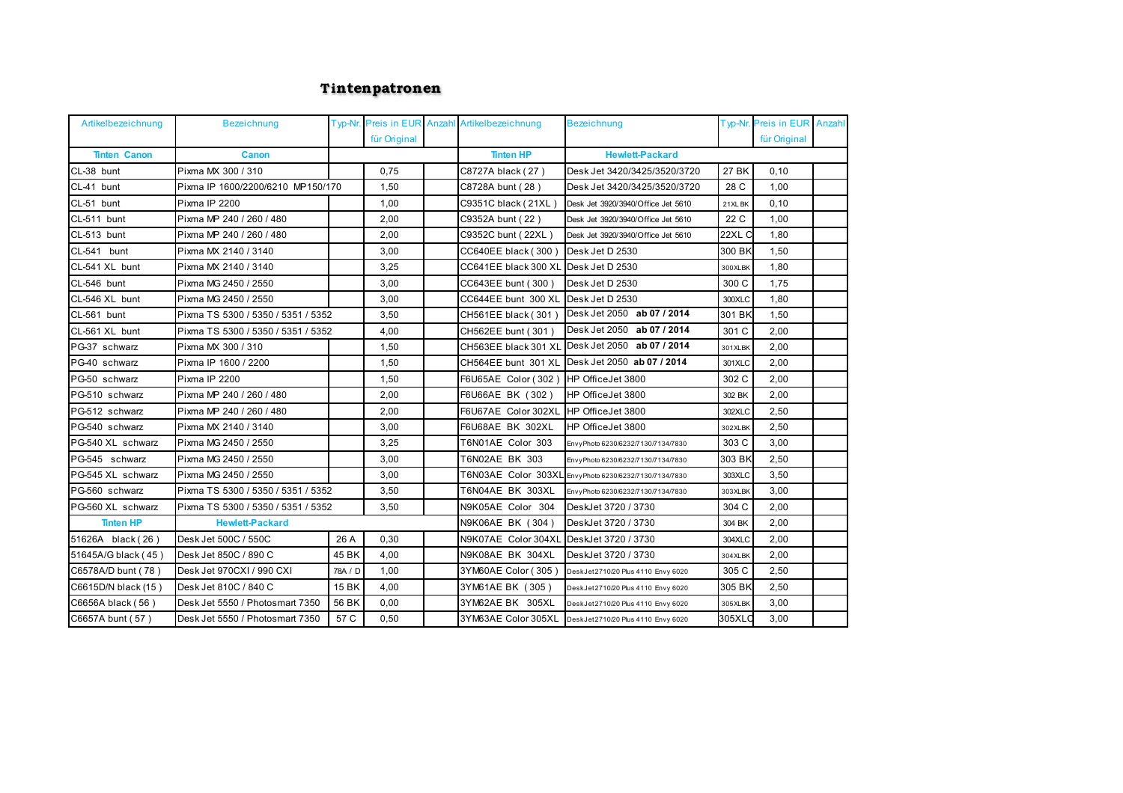## **<sup>T</sup> <sup>i</sup>ntenpatronen**

| Artikelbezeichnung  | <b>Bezeichnung</b>                 |         |              | Typ-Nr. Preis in EUR Anzahl Artikelbezeichnung | <b>Bezeichnung</b>                              |         | Typ-Nr. Preis in EUR Anzahl |  |
|---------------------|------------------------------------|---------|--------------|------------------------------------------------|-------------------------------------------------|---------|-----------------------------|--|
|                     |                                    |         | für Original |                                                |                                                 |         | für Original                |  |
| <b>Tinten Canon</b> | <b>Canon</b>                       |         |              | <b>Tinten HP</b>                               | <b>Hewlett-Packard</b>                          |         |                             |  |
| CL-38 bunt          | Pixma MX 300 / 310                 |         | 0,75         | C8727A black (27)                              | Desk Jet 3420/3425/3520/3720                    | 27 BK   | 0, 10                       |  |
| CL-41 bunt          | Pixma IP 1600/2200/6210 MP150/170  |         | 1.50         | C8728A bunt (28)                               | Desk Jet 3420/3425/3520/3720                    | 28 C    | 1.00                        |  |
| CL-51 bunt          | Pixma IP 2200                      |         | 1,00         | C9351C black (21XL)                            | Desk Jet 3920/3940/Office Jet 5610              | 21XL BK | 0.10                        |  |
| CL-511 bunt         | Pixma MP 240 / 260 / 480           |         | 2,00         | C9352A bunt (22)                               | Desk Jet 3920/3940/Office Jet 5610              | 22 C    | 1,00                        |  |
| CL-513 bunt         | Pixma MP 240 / 260 / 480           |         | 2,00         | C9352C bunt (22XL)                             | Desk Jet 3920/3940/Office Jet 5610              | 22XL C  | 1,80                        |  |
| CL-541 bunt         | Pixma MX 2140 / 3140               |         | 3,00         | CC640EE black (300)                            | Desk Jet D 2530                                 | 300 BK  | 1,50                        |  |
| CL-541 XL bunt      | Pixma MX 2140 / 3140               |         | 3,25         | CC641EE black 300 XL                           | Desk Jet D 2530                                 | 300XLBK | 1,80                        |  |
| CL-546 bunt         | Pixma MG 2450 / 2550               |         | 3,00         | CC643EE bunt (300)                             | Desk Jet D 2530                                 | 300 C   | 1,75                        |  |
| CL-546 XL bunt      | Pixma MG 2450 / 2550               |         | 3.00         | CC644EE bunt 300 XL                            | Desk Jet D 2530                                 | 300XLC  | 1.80                        |  |
| CL-561 bunt         | Pixma TS 5300 / 5350 / 5351 / 5352 |         | 3,50         | CH561EE black (301)                            | Desk Jet 2050 ab 07 / 2014                      | 301 BK  | 1,50                        |  |
| CL-561 XL bunt      | Pixma TS 5300 / 5350 / 5351 / 5352 |         | 4,00         | CH562EE bunt (301)                             | Desk Jet 2050 ab 07 / 2014                      | 301 C   | 2,00                        |  |
| PG-37 schwarz       | Pixma MX 300 / 310                 |         | 1,50         |                                                | CH563EE black 301 XL Desk Jet 2050 ab 07 / 2014 | 301XLBK | 2,00                        |  |
| PG-40 schwarz       | Pixma IP 1600 / 2200               |         | 1,50         |                                                | CH564EE bunt 301 XL Desk Jet 2050 ab 07 / 2014  | 301XLC  | 2,00                        |  |
| PG-50 schwarz       | Pixma IP 2200                      |         | 1,50         | F6U65AE Color (302)                            | HP OfficeJet 3800                               | 302 C   | 2,00                        |  |
| PG-510 schwarz      | Pixma MP 240 / 260 / 480           |         | 2,00         | F6U66AE BK (302)                               | HP OfficeJet 3800                               | 302 BK  | 2,00                        |  |
| PG-512 schwarz      | Pixma MP 240 / 260 / 480           |         | 2,00         | F6U67AE Color 302XL                            | HP OfficeJet 3800                               | 302XLC  | 2,50                        |  |
| PG-540 schwarz      | Pixma MX 2140 / 3140               |         | 3.00         | F6U68AE BK 302XL                               | HP OfficeJet 3800                               | 302XLBK | 2.50                        |  |
| PG-540 XL schwarz   | Pixma MG 2450 / 2550               |         | 3,25         | T6N01AE Color 303                              | EnvyPhoto 6230/6232/7130/7134/7830              | 303 C   | 3,00                        |  |
| PG-545 schwarz      | Pixma MG 2450 / 2550               |         | 3,00         | T6N02AE BK 303                                 | EnvyPhoto 6230/6232/7130/7134/7830              | 303 BK  | 2,50                        |  |
| PG-545 XL schwarz   | Pixma MG 2450 / 2550               |         | 3,00         | T6N03AE Color 303XL                            | EnvyPhoto 6230/6232/7130/7134/7830              | 303XLC  | 3,50                        |  |
| PG-560 schwarz      | Pixma TS 5300 / 5350 / 5351 / 5352 |         | 3,50         | T6N04AE BK 303XL                               | EnvyPhoto 6230/6232/7130/7134/7830              | 303XLBK | 3,00                        |  |
| PG-560 XL schwarz   | Pixma TS 5300 / 5350 / 5351 / 5352 |         | 3,50         | N9K05AE Color 304                              | DeskJet 3720 / 3730                             | 304 C   | 2,00                        |  |
| <b>Tinten HP</b>    | <b>Hewlett-Packard</b>             |         |              | N9K06AE BK (304)                               | DeskJet 3720 / 3730                             | 304 BK  | 2,00                        |  |
| 51626A black (26)   | Desk Jet 500C / 550C               | 26 A    | 0.30         | N9K07AE Color 304XL                            | DeskJet 3720 / 3730                             | 304XLC  | 2.00                        |  |
| 51645A/G black (45) | Desk Jet 850C / 890 C              | 45 BK   | 4,00         | N9K08AE BK 304XL                               | DeskJet 3720 / 3730                             | 304XLBK | 2,00                        |  |
| C6578A/D bunt (78)  | Desk Jet 970CXI / 990 CXI          | 78A / D | 1,00         | 3YM60AE Color (305)                            | DeskJet2710/20 Plus 4110 Envy 6020              | 305 C   | 2,50                        |  |
| C6615D/N black (15) | Desk Jet 810C / 840 C              | 15 BK   | 4,00         | 3YM61AE BK (305)                               | DeskJet2710/20 Plus 4110 Envy 6020              | 305 BK  | 2,50                        |  |
| C6656A black (56)   | Desk Jet 5550 / Photosmart 7350    | 56 BK   | 0,00         | 3YM62AE BK 305XL                               | DeskJet2710/20 Plus 4110 Envy 6020              | 305XLBK | 3,00                        |  |
| C6657A bunt (57)    | Desk Jet 5550 / Photosmart 7350    | 57 C    | 0,50         | 3YM63AE Color 305XL                            | DeskJet2710/20 Plus 4110 Envy 6020              | 305XLC  | 3,00                        |  |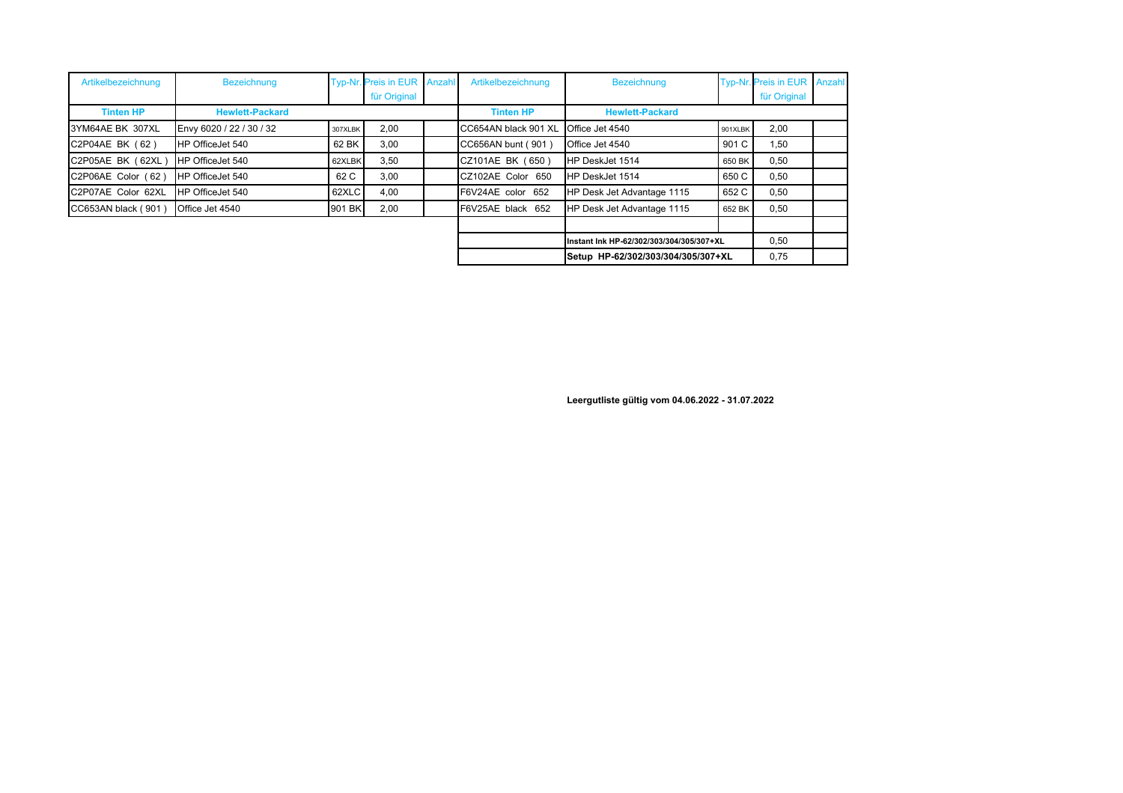| Artikelbezeichnung  | <b>Bezeichnung</b>       | <b>Typ-Nr</b> | Preis in EUR Anzahl | Artikelbezeichnung   | <b>Bezeichnung</b>                       |         | Typ-Nr. Preis in EUR Anzahl |  |
|---------------------|--------------------------|---------------|---------------------|----------------------|------------------------------------------|---------|-----------------------------|--|
|                     |                          |               | für Original        |                      |                                          |         | für Original                |  |
| <b>Tinten HP</b>    | <b>Hewlett-Packard</b>   |               |                     | <b>Tinten HP</b>     | <b>Hewlett-Packard</b>                   |         |                             |  |
| 3YM64AE BK 307XL    | Envy 6020 / 22 / 30 / 32 | 307XLBK       | 2,00                | CC654AN black 901 XL | Office Jet 4540                          | 901XLBK | 2,00                        |  |
| C2P04AE BK (62)     | HP OfficeJet 540         | 62 BK         | 3,00                | CC656AN bunt (901)   | Office Jet 4540                          | 901 C   | 1.50                        |  |
| C2P05AE BK (62XL)   | HP OfficeJet 540         | 62XLBK        | 3,50                | CZ101AE BK (650)     | HP DeskJet 1514                          | 650 BK  | 0,50                        |  |
| C2P06AE Color (62)  | HP OfficeJet 540         | 62 C          | 3.00                | CZ102AE Color 650    | HP DeskJet 1514                          | 650 C   | 0,50                        |  |
| C2P07AE Color 62XL  | HP OfficeJet 540         | 62XLC         | 4,00                | F6V24AE color 652    | HP Desk Jet Advantage 1115               | 652 C   | 0,50                        |  |
| CC653AN black (901) | Office Jet 4540          | 901 BK        | 2,00                | F6V25AE black 652    | HP Desk Jet Advantage 1115               | 652 BK  | 0,50                        |  |
|                     |                          |               |                     |                      |                                          |         |                             |  |
|                     |                          |               |                     |                      | Instant Ink HP-62/302/303/304/305/307+XL |         | 0,50                        |  |
|                     |                          |               |                     |                      | Setup HP-62/302/303/304/305/307+XL       |         | 0,75                        |  |

**Leergutliste gültig vom 04.06.2022 - 31.07.2022**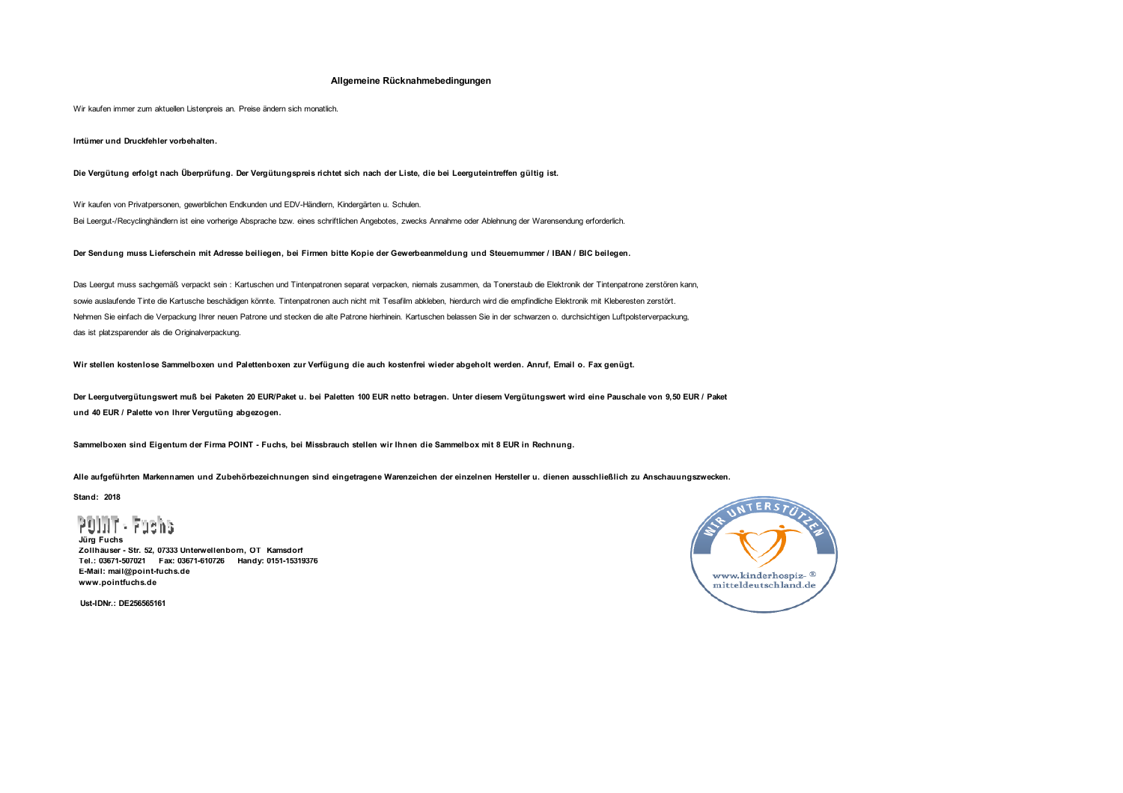## **Allgemeine Rücknahmebedingungen**

Wir kaufen immer zum aktuellen Listenpreis an. Preise ändern sich monatlich.

 **Irrtümer und Druckfehler vorbehalten.**

 **Die Vergütung erfolgt nach Überprüfung. Der Vergütungspreis richtet sich nach der Liste, die bei Leerguteintreffen gültig ist.**

 Wir kaufen von Privatpersonen, gewerblichen Endkunden und EDV-Händlern, Kindergärten u. Schulen.Bei Leergut-/Recyclinghändlern ist eine vorherige Absprache bzw. eines schriftlichen Angebotes, zwecks Annahme oder Ablehnung der Warensendung erforderlich.

 **Der Sendung muss Lieferschein mit Adresse beiliegen, bei Firmen bitte Kopie der Gewerbeanmeldung und Steuernummer / IBAN / BIC beilegen.**

 Das Leergut muss sachgemäß verpackt sein : Kartuschen und Tintenpatronen separat verpacken, niemals zusammen, da Tonerstaub die Elektronik der Tintenpatrone zerstören kann, sowie auslaufende Tinte die Kartusche beschädigen könnte. Tintenpatronen auch nicht mit Tesafilm abkleben, hierdurch wird die empfindliche Elektronik mit Kleberesten zerstört. Nehmen Sie einfach die Verpackung Ihrer neuen Patrone und stecken die alte Patrone hierhinein. Kartuschen belassen Sie in der schwarzen o. durchsichtigen Luftpolsterverpackung, das ist platzsparender als die Originalverpackung.

 **Wir stellen kostenlose Sammelboxen und Palettenboxen zur Verfügung die auch kostenfrei wieder abgeholt werden. Anruf, Email o. Fax genügt.**

 **Der Leergutvergütungswert muß bei Paketen 20 EUR/Paket u. bei Paletten 100 EUR netto betragen. Unter diesem Vergütungswert wird eine Pauschale von 9,50 EUR / Paket und 40 EUR / Palette von Ihrer Vergutüng abgezogen.**

 **Sammelboxen sind Eigentum der Firma POINT - Fuchs, bei Missbrauch stellen wir Ihnen die Sammelbox mit 8 EUR in Rechnung.**

 **Alle aufgeführten Markennamen und Zubehörbezeichnungen sind eingetragene Warenzeichen der einzelnen Hersteller u. dienen ausschließlich zu Anschauungszwecken.**

 **Stand: 2018**

POLIT

 **Jürg Fuchs Zollhäuser - Str. 52, 07333 Unterwellenborn, OT Kamsdorf Tel.: 03671-507021 Fax: 03671-610726 Handy: 0151-15319376 E-Mail: mail@point-fuchs.de www.pointfuchs.de**

www.kinderhospiz- ® mitteldeutschland.de

**Ust-IDNr.: DE256565161**